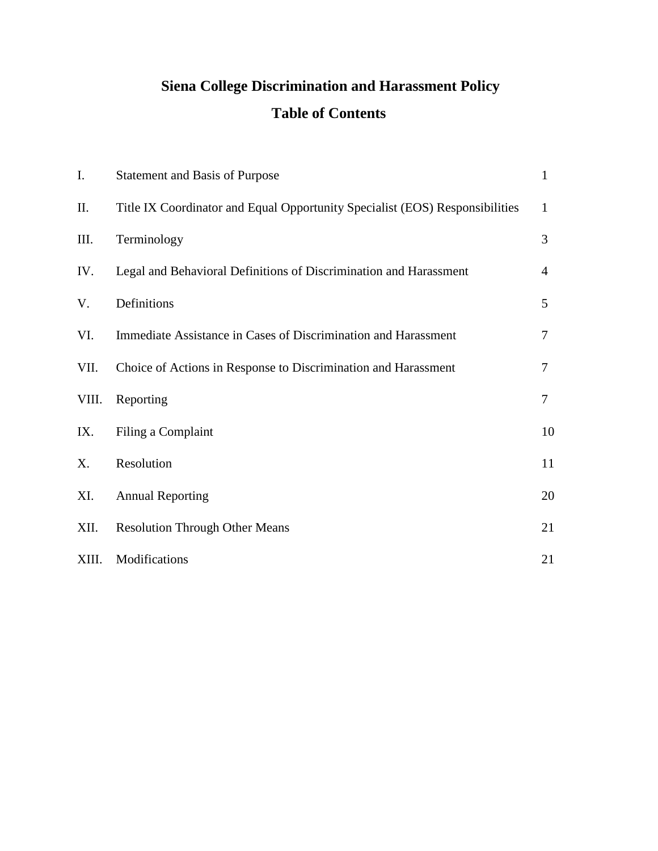# **Siena College Discrimination and Harassment Policy Table of Contents**

| I.        | <b>Statement and Basis of Purpose</b>                                        | $\mathbf{1}$   |
|-----------|------------------------------------------------------------------------------|----------------|
| $\prod$ . | Title IX Coordinator and Equal Opportunity Specialist (EOS) Responsibilities | $\mathbf{1}$   |
| III.      | Terminology                                                                  | 3              |
| IV.       | Legal and Behavioral Definitions of Discrimination and Harassment            | $\overline{4}$ |
| V.        | Definitions                                                                  | 5              |
| VI.       | Immediate Assistance in Cases of Discrimination and Harassment               | $\tau$         |
| VII.      | Choice of Actions in Response to Discrimination and Harassment               | 7              |
| VIII.     | Reporting                                                                    | $\overline{7}$ |
| IX.       | Filing a Complaint                                                           | 10             |
| X.        | Resolution                                                                   | 11             |
| XI.       | <b>Annual Reporting</b>                                                      | 20             |
| XII.      | <b>Resolution Through Other Means</b>                                        | 21             |
| XIII.     | Modifications                                                                | 21             |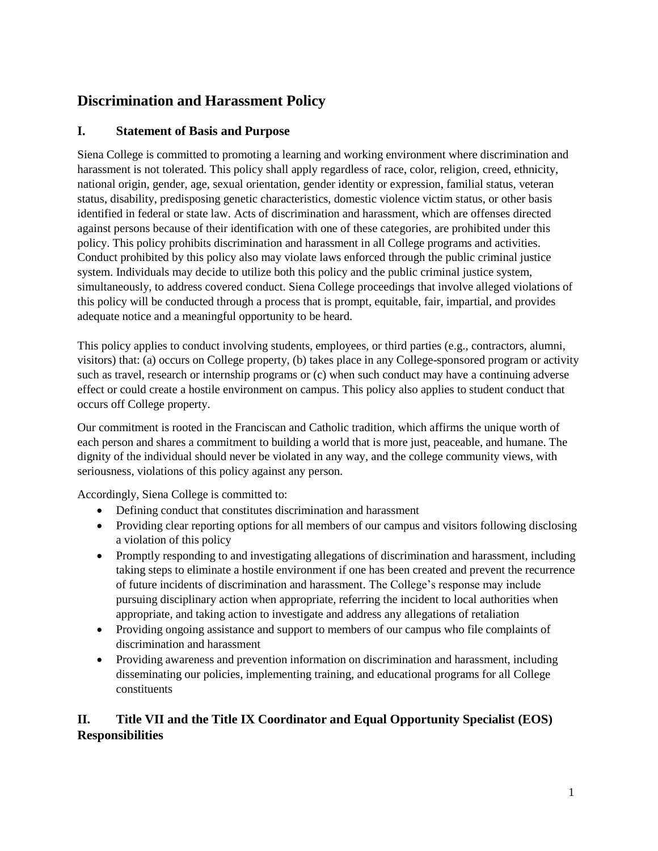# **Discrimination and Harassment Policy**

# **I. Statement of Basis and Purpose**

Siena College is committed to promoting a learning and working environment where discrimination and harassment is not tolerated. This policy shall apply regardless of race, color, religion, creed, ethnicity, national origin, gender, age, sexual orientation, gender identity or expression, familial status, veteran status, disability, predisposing genetic characteristics, domestic violence victim status, or other basis identified in federal or state law. Acts of discrimination and harassment, which are offenses directed against persons because of their identification with one of these categories, are prohibited under this policy. This policy prohibits discrimination and harassment in all College programs and activities. Conduct prohibited by this policy also may violate laws enforced through the public criminal justice system. Individuals may decide to utilize both this policy and the public criminal justice system, simultaneously, to address covered conduct. Siena College proceedings that involve alleged violations of this policy will be conducted through a process that is prompt, equitable, fair, impartial, and provides adequate notice and a meaningful opportunity to be heard.

This policy applies to conduct involving students, employees, or third parties (e.g., contractors, alumni, visitors) that: (a) occurs on College property, (b) takes place in any College-sponsored program or activity such as travel, research or internship programs or (c) when such conduct may have a continuing adverse effect or could create a hostile environment on campus. This policy also applies to student conduct that occurs off College property.

Our commitment is rooted in the Franciscan and Catholic tradition, which affirms the unique worth of each person and shares a commitment to building a world that is more just, peaceable, and humane. The dignity of the individual should never be violated in any way, and the college community views, with seriousness, violations of this policy against any person.

Accordingly, Siena College is committed to:

- Defining conduct that constitutes discrimination and harassment
- Providing clear reporting options for all members of our campus and visitors following disclosing a violation of this policy
- Promptly responding to and investigating allegations of discrimination and harassment, including taking steps to eliminate a hostile environment if one has been created and prevent the recurrence of future incidents of discrimination and harassment. The College's response may include pursuing disciplinary action when appropriate, referring the incident to local authorities when appropriate, and taking action to investigate and address any allegations of retaliation
- Providing ongoing assistance and support to members of our campus who file complaints of discrimination and harassment
- Providing awareness and prevention information on discrimination and harassment, including disseminating our policies, implementing training, and educational programs for all College constituents

# **II. Title VII and the Title IX Coordinator and Equal Opportunity Specialist (EOS) Responsibilities**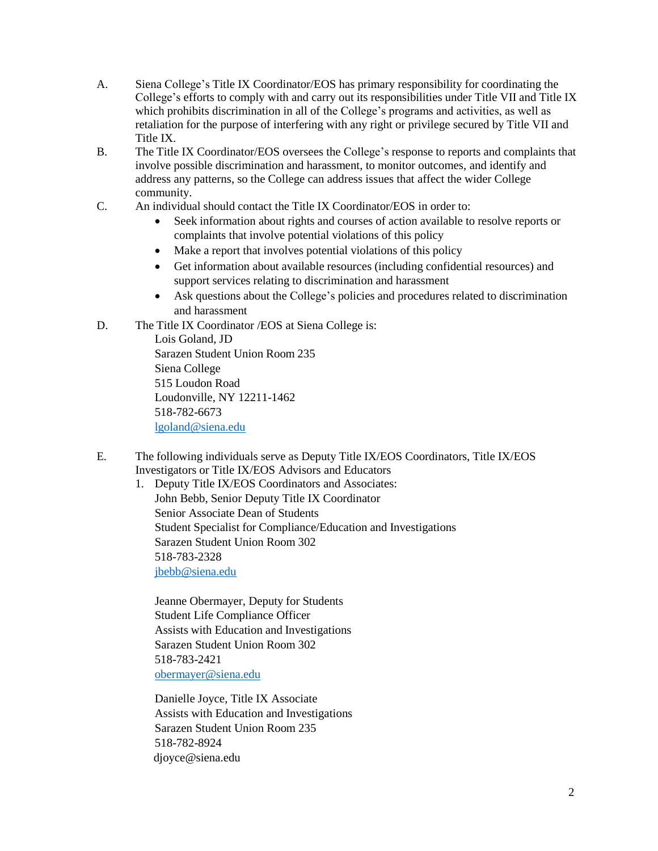- A. Siena College's Title IX Coordinator/EOS has primary responsibility for coordinating the College's efforts to comply with and carry out its responsibilities under Title VII and Title IX which prohibits discrimination in all of the College's programs and activities, as well as retaliation for the purpose of interfering with any right or privilege secured by Title VII and Title IX.
- B. The Title IX Coordinator/EOS oversees the College's response to reports and complaints that involve possible discrimination and harassment, to monitor outcomes, and identify and address any patterns, so the College can address issues that affect the wider College community.
- C. An individual should contact the Title IX Coordinator/EOS in order to:
	- Seek information about rights and courses of action available to resolve reports or complaints that involve potential violations of this policy
	- Make a report that involves potential violations of this policy
	- Get information about available resources (including confidential resources) and support services relating to discrimination and harassment
	- Ask questions about the College's policies and procedures related to discrimination and harassment
- D. The Title IX Coordinator /EOS at Siena College is:

Lois Goland, JD Sarazen Student Union Room 235 Siena College 515 Loudon Road Loudonville, NY 12211-1462 518-782-6673 [lgoland@siena.edu](mailto:lgoland@siena.edu)

E. The following individuals serve as Deputy Title IX/EOS Coordinators, Title IX/EOS Investigators or Title IX/EOS Advisors and Educators

1. Deputy Title IX/EOS Coordinators and Associates: John Bebb, Senior Deputy Title IX Coordinator Senior Associate Dean of Students Student Specialist for Compliance/Education and Investigations Sarazen Student Union Room 302 518-783-2328 [jbebb@siena.edu](mailto:jbebb@siena.edu)

Jeanne Obermayer, Deputy for Students Student Life Compliance Officer Assists with Education and Investigations Sarazen Student Union Room 302 518-783-2421 [obermayer@siena.edu](mailto:obermayer@siena.edu)

Danielle Joyce, Title IX Associate Assists with Education and Investigations Sarazen Student Union Room 235 518-782-8924 djoyce@siena.edu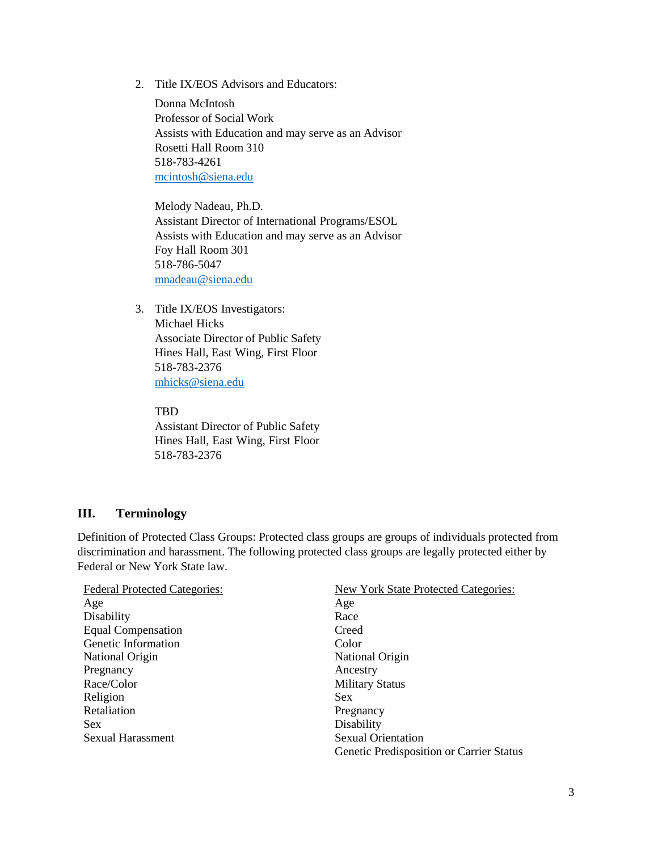2. Title IX/EOS Advisors and Educators:

Donna McIntosh Professor of Social Work Assists with Education and may serve as an Advisor Rosetti Hall Room 310 518-783-4261 [mcintosh@siena.edu](mailto:mcintosh@siena.edu)

Melody Nadeau, Ph.D. Assistant Director of International Programs/ESOL Assists with Education and may serve as an Advisor Foy Hall Room 301 518-786-5047 [mnadeau@siena.edu](mailto:mnadeau@siena.edu)

3. Title IX/EOS Investigators: Michael Hicks Associate Director of Public Safety Hines Hall, East Wing, First Floor 518-783-2376 [mhicks@siena.edu](mailto:mhicks@siena.edu)

#### TBD

Assistant Director of Public Safety Hines Hall, East Wing, First Floor 518-783-2376

# <span id="page-3-0"></span>**III. Terminology**

Definition of Protected Class Groups: Protected class groups are groups of individuals protected from discrimination and harassment. The following protected class groups are legally protected either by Federal or New York State law.

| <b>Federal Protected Categories:</b> | <b>New York State Protected Categories:</b> |
|--------------------------------------|---------------------------------------------|
| Age                                  | Age                                         |
| Disability                           | Race                                        |
| <b>Equal Compensation</b>            | Creed                                       |
| Genetic Information                  | Color                                       |
| National Origin                      | National Origin                             |
| Pregnancy                            | Ancestry                                    |
| Race/Color                           | <b>Military Status</b>                      |
| Religion                             | Sex                                         |
| Retaliation                          | Pregnancy                                   |
| <b>Sex</b>                           | Disability                                  |
| <b>Sexual Harassment</b>             | <b>Sexual Orientation</b>                   |
|                                      | Genetic Predisposition or Carrier Status    |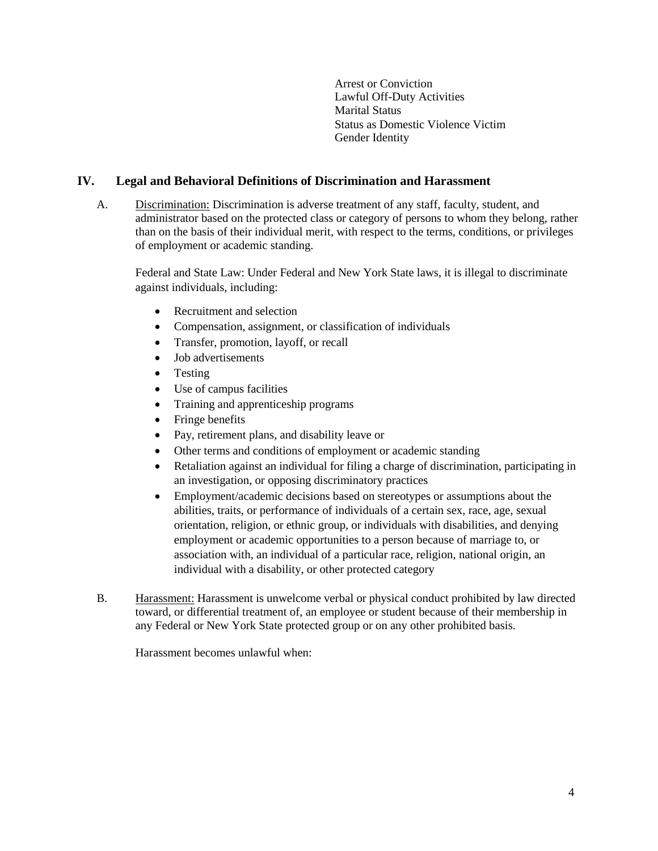Arrest or Conviction Lawful Off-Duty Activities Marital Status Status as Domestic Violence Victim Gender Identity

# <span id="page-4-0"></span>**IV. Legal and Behavioral Definitions of Discrimination and Harassment**

A. Discrimination: Discrimination is adverse treatment of any staff, faculty, student, and administrator based on the protected class or category of persons to whom they belong, rather than on the basis of their individual merit, with respect to the terms, conditions, or privileges of employment or academic standing.

Federal and State Law: Under Federal and New York State laws, it is illegal to discriminate against individuals, including:

- Recruitment and selection
- Compensation, assignment, or classification of individuals
- Transfer, promotion, layoff, or recall
- Job advertisements
- Testing
- Use of campus facilities
- Training and apprenticeship programs
- Fringe benefits
- Pay, retirement plans, and disability leave or
- Other terms and conditions of employment or academic standing
- Retaliation against an individual for filing a charge of discrimination, participating in an investigation, or opposing discriminatory practices
- Employment/academic decisions based on stereotypes or assumptions about the abilities, traits, or performance of individuals of a certain sex, race, age, sexual orientation, religion, or ethnic group, or individuals with disabilities, and denying employment or academic opportunities to a person because of marriage to, or association with, an individual of a particular race, religion, national origin, an individual with a disability, or other protected category
- B. Harassment: Harassment is unwelcome verbal or physical conduct prohibited by law directed toward, or differential treatment of, an employee or student because of their membership in any Federal or New York State protected group or on any other prohibited basis.

Harassment becomes unlawful when: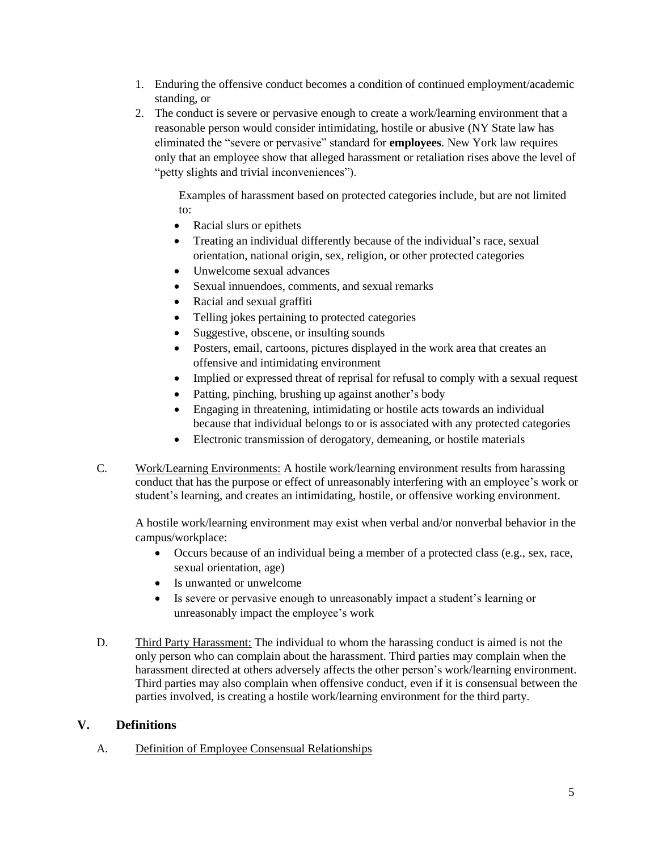- 1. Enduring the offensive conduct becomes a condition of continued employment/academic standing, or
- 2. The conduct is severe or pervasive enough to create a work/learning environment that a reasonable person would consider intimidating, hostile or abusive (NY State law has eliminated the "severe or pervasive" standard for **employees**. New York law requires only that an employee show that alleged harassment or retaliation rises above the level of "petty slights and trivial inconveniences").

Examples of harassment based on protected categories include, but are not limited to:

- Racial slurs or epithets
- Treating an individual differently because of the individual's race, sexual orientation, national origin, sex, religion, or other protected categories
- Unwelcome sexual advances
- Sexual innuendoes, comments, and sexual remarks
- Racial and sexual graffiti
- Telling jokes pertaining to protected categories
- Suggestive, obscene, or insulting sounds
- Posters, email, cartoons, pictures displayed in the work area that creates an offensive and intimidating environment
- Implied or expressed threat of reprisal for refusal to comply with a sexual request
- Patting, pinching, brushing up against another's body
- Engaging in threatening, intimidating or hostile acts towards an individual because that individual belongs to or is associated with any protected categories
- Electronic transmission of derogatory, demeaning, or hostile materials
- C. Work/Learning Environments: A hostile work/learning environment results from harassing conduct that has the purpose or effect of unreasonably interfering with an employee's work or student's learning, and creates an intimidating, hostile, or offensive working environment.

A hostile work/learning environment may exist when verbal and/or nonverbal behavior in the campus/workplace:

- Occurs because of an individual being a member of a protected class (e.g., sex, race, sexual orientation, age)
- Is unwanted or unwelcome
- Is severe or pervasive enough to unreasonably impact a student's learning or unreasonably impact the employee's work
- D. Third Party Harassment: The individual to whom the harassing conduct is aimed is not the only person who can complain about the harassment. Third parties may complain when the harassment directed at others adversely affects the other person's work/learning environment. Third parties may also complain when offensive conduct, even if it is consensual between the parties involved, is creating a hostile work/learning environment for the third party.

# <span id="page-5-0"></span>**V. Definitions**

# A. Definition of Employee Consensual Relationships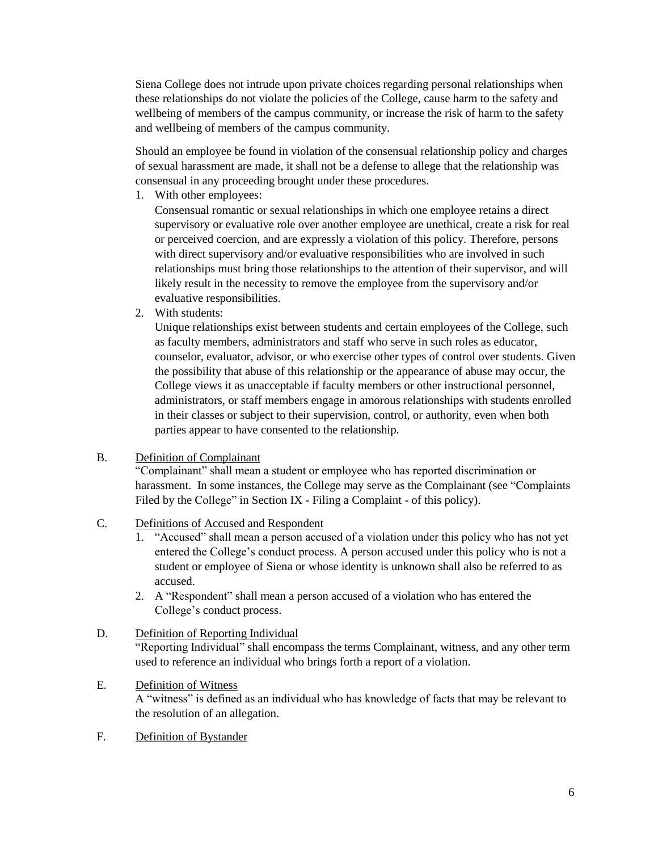Siena College does not intrude upon private choices regarding personal relationships when these relationships do not violate the policies of the College, cause harm to the safety and wellbeing of members of the campus community, or increase the risk of harm to the safety and wellbeing of members of the campus community.

Should an employee be found in violation of the consensual relationship policy and charges of sexual harassment are made, it shall not be a defense to allege that the relationship was consensual in any proceeding brought under these procedures.

1. With other employees:

Consensual romantic or sexual relationships in which one employee retains a direct supervisory or evaluative role over another employee are unethical, create a risk for real or perceived coercion, and are expressly a violation of this policy. Therefore, persons with direct supervisory and/or evaluative responsibilities who are involved in such relationships must bring those relationships to the attention of their supervisor, and will likely result in the necessity to remove the employee from the supervisory and/or evaluative responsibilities.

2. With students:

Unique relationships exist between students and certain employees of the College, such as faculty members, administrators and staff who serve in such roles as educator, counselor, evaluator, advisor, or who exercise other types of control over students. Given the possibility that abuse of this relationship or the appearance of abuse may occur, the College views it as unacceptable if faculty members or other instructional personnel, administrators, or staff members engage in amorous relationships with students enrolled in their classes or subject to their supervision, control, or authority, even when both parties appear to have consented to the relationship.

# B. Definition of Complainant

"Complainant" shall mean a student or employee who has reported discrimination or harassment. In some instances, the College may serve as the Complainant (see "Complaints Filed by the College" in Section IX - Filing a Complaint - of this policy).

# C. Definitions of Accused and Respondent

- 1. "Accused" shall mean a person accused of a violation under this policy who has not yet entered the College's conduct process. A person accused under this policy who is not a student or employee of Siena or whose identity is unknown shall also be referred to as accused.
- 2. A "Respondent" shall mean a person accused of a violation who has entered the College's conduct process.

# D. Definition of Reporting Individual

"Reporting Individual" shall encompass the terms Complainant, witness, and any other term used to reference an individual who brings forth a report of a violation.

# E. Definition of Witness

A "witness" is defined as an individual who has knowledge of facts that may be relevant to the resolution of an allegation.

F. Definition of Bystander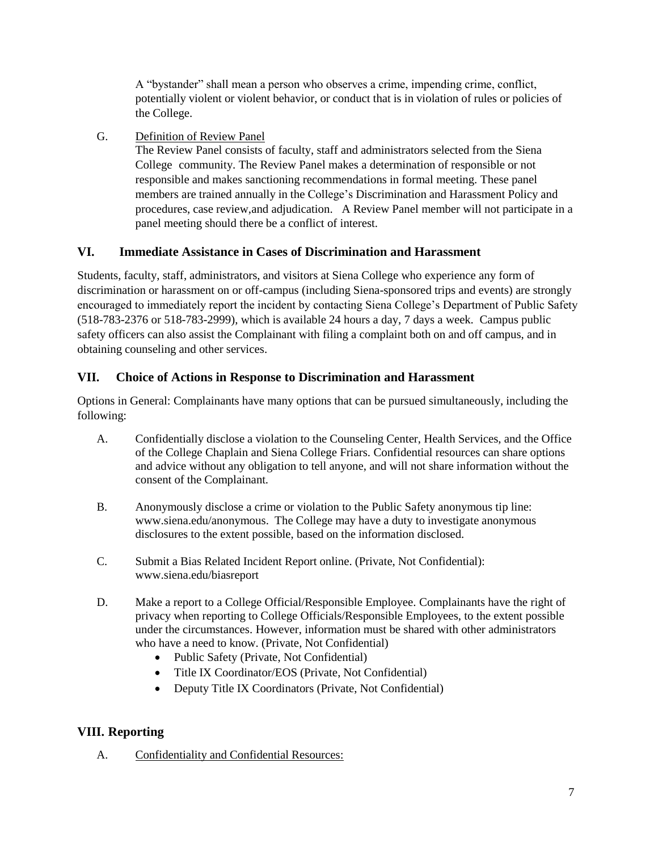A "bystander" shall mean a person who observes a crime, impending crime, conflict, potentially violent or violent behavior, or conduct that is in violation of rules or policies of the College.

G. Definition of Review Panel

The Review Panel consists of faculty, staff and administrators selected from the Siena College community. The Review Panel makes a determination of responsible or not responsible and makes sanctioning recommendations in formal meeting. These panel members are trained annually in the College's Discrimination and Harassment Policy and procedures, case review,and adjudication. A Review Panel member will not participate in a panel meeting should there be a conflict of interest.

# <span id="page-7-0"></span>**VI. Immediate Assistance in Cases of Discrimination and Harassment**

Students, faculty, staff, administrators, and visitors at Siena College who experience any form of discrimination or harassment on or off-campus (including Siena-sponsored trips and events) are strongly encouraged to immediately report the incident by contacting Siena College's Department of Public Safety (518-783-2376 or 518-783-2999), which is available 24 hours a day, 7 days a week. Campus public safety officers can also assist the Complainant with filing a complaint both on and off campus, and in obtaining counseling and other services.

# <span id="page-7-1"></span>**VII. Choice of Actions in Response to Discrimination and Harassment**

Options in General: Complainants have many options that can be pursued simultaneously, including the following:

- A. Confidentially disclose a violation to the Counseling Center, Health Services, and the Office of the College Chaplain and Siena College Friars. Confidential resources can share options and advice without any obligation to tell anyone, and will not share information without the consent of the Complainant.
- B. Anonymously disclose a crime or violation to the Public Safety anonymous tip line: [www.siena.edu/anonymous.](http://www.siena.edu/anonymous) The College may have a duty to investigate anonymous disclosures to the extent possible, based on the information disclosed.
- C. Submit a Bias Related Incident Report online. (Private, Not Confidential): [www.siena.edu/biasreport](http://www.siena.edu/biasreport)
- D. Make a report to a College Official/Responsible Employee. Complainants have the right of privacy when reporting to College Officials/Responsible Employees, to the extent possible under the circumstances. However, information must be shared with other administrators who have a need to know. (Private, Not Confidential)
	- Public Safety (Private, Not Confidential)
	- Title IX Coordinator/EOS (Private, Not Confidential)
	- Deputy Title IX Coordinators (Private, Not Confidential)

# <span id="page-7-2"></span>**VIII. Reporting**

A. Confidentiality and Confidential Resources: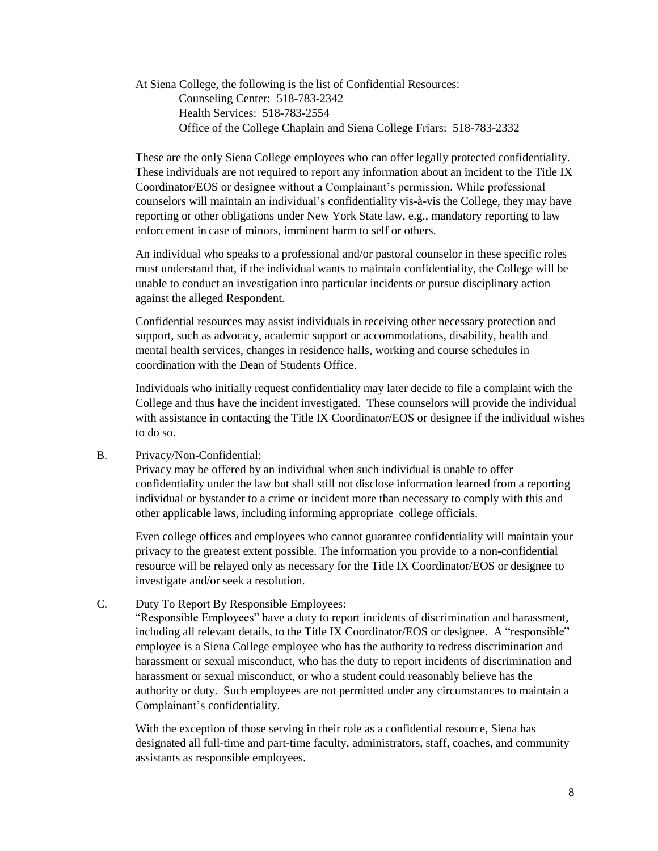At Siena College, the following is the list of Confidential Resources: Counseling Center: 518-783-2342 Health Services: 518-783-2554 Office of the College Chaplain and Siena College Friars: 518-783-2332

These are the only Siena College employees who can offer legally protected confidentiality. These individuals are not required to report any information about an incident to the Title IX Coordinator/EOS or designee without a Complainant's permission. While professional counselors will maintain an individual's confidentiality vis-à-vis the College, they may have reporting or other obligations under New York State law, e.g., mandatory reporting to law enforcement in case of minors, imminent harm to self or others.

An individual who speaks to a professional and/or pastoral counselor in these specific roles must understand that, if the individual wants to maintain confidentiality, the College will be unable to conduct an investigation into particular incidents or pursue disciplinary action against the alleged Respondent.

Confidential resources may assist individuals in receiving other necessary protection and support, such as advocacy, academic support or accommodations, disability, health and mental health services, changes in residence halls, working and course schedules in coordination with the Dean of Students Office.

Individuals who initially request confidentiality may later decide to file a complaint with the College and thus have the incident investigated. These counselors will provide the individual with assistance in contacting the Title IX Coordinator/EOS or designee if the individual wishes to do so.

#### B. Privacy/Non-Confidential:

Privacy may be offered by an individual when such individual is unable to offer confidentiality under the law but shall still not disclose information learned from a reporting individual or bystander to a crime or incident more than necessary to comply with this and other applicable laws, including informing appropriate college officials.

Even college offices and employees who cannot guarantee confidentiality will maintain your privacy to the greatest extent possible. The information you provide to a non-confidential resource will be relayed only as necessary for the Title IX Coordinator/EOS or designee to investigate and/or seek a resolution.

#### C. Duty To Report By Responsible Employees:

"Responsible Employees" have a duty to report incidents of discrimination and harassment, including all relevant details, to the Title IX Coordinator/EOS or designee. A "responsible" employee is a Siena College employee who has the authority to redress discrimination and harassment or sexual misconduct, who has the duty to report incidents of discrimination and harassment or sexual misconduct, or who a student could reasonably believe has the authority or duty. Such employees are not permitted under any circumstances to maintain a Complainant's confidentiality.

With the exception of those serving in their role as a confidential resource, Siena has designated all full-time and part-time faculty, administrators, staff, coaches, and community assistants as responsible employees.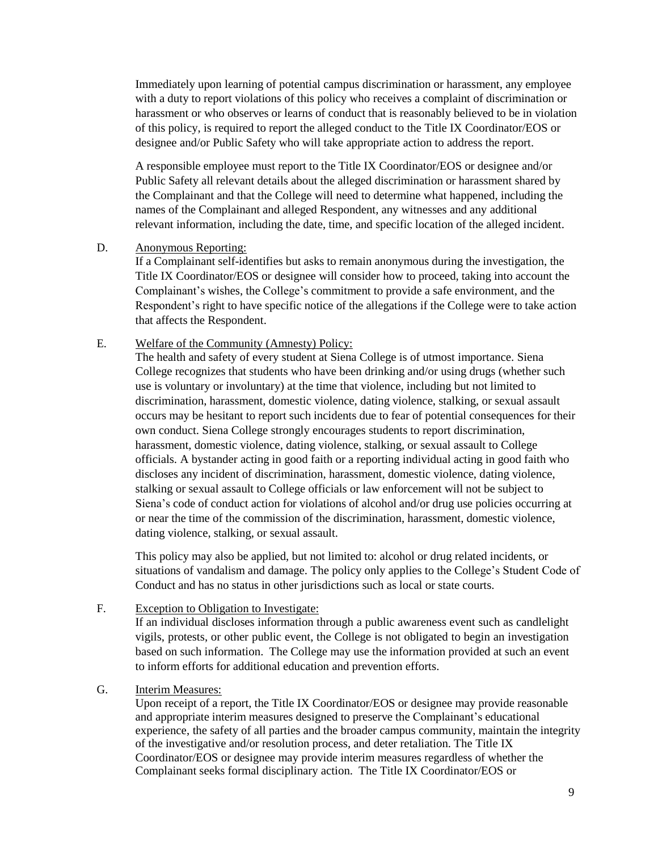Immediately upon learning of potential campus discrimination or harassment, any employee with a duty to report violations of this policy who receives a complaint of discrimination or harassment or who observes or learns of conduct that is reasonably believed to be in violation of this policy, is required to report the alleged conduct to the Title IX Coordinator/EOS or designee and/or Public Safety who will take appropriate action to address the report.

A responsible employee must report to the Title IX Coordinator/EOS or designee and/or Public Safety all relevant details about the alleged discrimination or harassment shared by the Complainant and that the College will need to determine what happened, including the names of the Complainant and alleged Respondent, any witnesses and any additional relevant information, including the date, time, and specific location of the alleged incident.

#### D. Anonymous Reporting:

If a Complainant self-identifies but asks to remain anonymous during the investigation, the Title IX Coordinator/EOS or designee will consider how to proceed, taking into account the Complainant's wishes, the College's commitment to provide a safe environment, and the Respondent's right to have specific notice of the allegations if the College were to take action that affects the Respondent.

#### E. Welfare of the Community (Amnesty) Policy:

The health and safety of every student at Siena College is of utmost importance. Siena College recognizes that students who have been drinking and/or using drugs (whether such use is voluntary or involuntary) at the time that violence, including but not limited to discrimination, harassment, domestic violence, dating violence, stalking, or sexual assault occurs may be hesitant to report such incidents due to fear of potential consequences for their own conduct. Siena College strongly encourages students to report discrimination, harassment, domestic violence, dating violence, stalking, or sexual assault to College officials. A bystander acting in good faith or a reporting individual acting in good faith who discloses any incident of discrimination, harassment, domestic violence, dating violence, stalking or sexual assault to College officials or law enforcement will not be subject to Siena's code of conduct action for violations of alcohol and/or drug use policies occurring at or near the time of the commission of the discrimination, harassment, domestic violence, dating violence, stalking, or sexual assault.

This policy may also be applied, but not limited to: alcohol or drug related incidents, or situations of vandalism and damage. The policy only applies to the College's Student Code of Conduct and has no status in other jurisdictions such as local or state courts.

#### F. Exception to Obligation to Investigate:

If an individual discloses information through a public awareness event such as candlelight vigils, protests, or other public event, the College is not obligated to begin an investigation based on such information. The College may use the information provided at such an event to inform efforts for additional education and prevention efforts.

#### G. Interim Measures:

Upon receipt of a report, the Title IX Coordinator/EOS or designee may provide reasonable and appropriate interim measures designed to preserve the Complainant's educational experience, the safety of all parties and the broader campus community, maintain the integrity of the investigative and/or resolution process, and deter retaliation. The Title IX Coordinator/EOS or designee may provide interim measures regardless of whether the Complainant seeks formal disciplinary action. The Title IX Coordinator/EOS or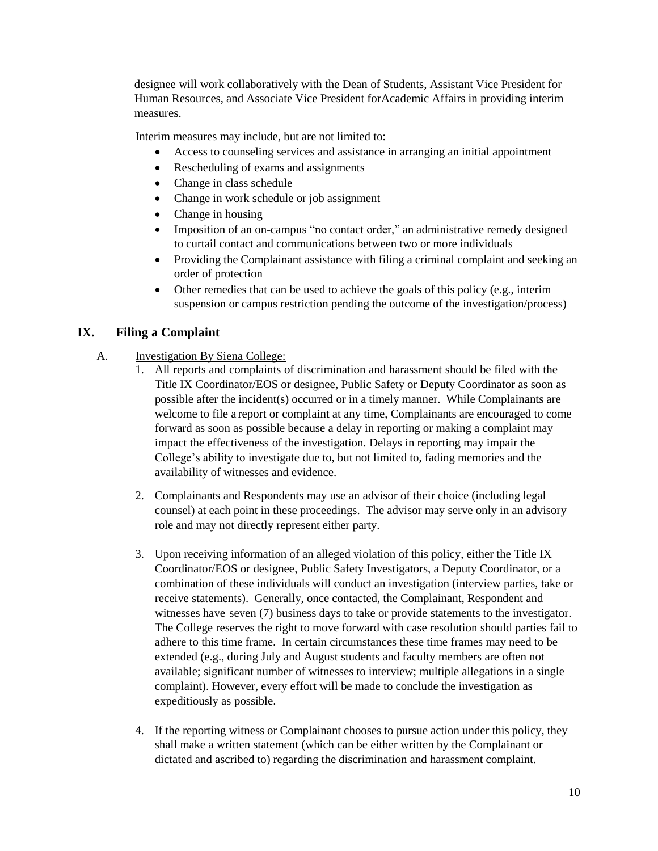designee will work collaboratively with the Dean of Students, Assistant Vice President for Human Resources, and Associate Vice President forAcademic Affairs in providing interim measures.

Interim measures may include, but are not limited to:

- Access to counseling services and assistance in arranging an initial appointment
- Rescheduling of exams and assignments
- Change in class schedule
- Change in work schedule or job assignment
- Change in housing
- Imposition of an on-campus "no contact order," an administrative remedy designed to curtail contact and communications between two or more individuals
- Providing the Complainant assistance with filing a criminal complaint and seeking an order of protection
- Other remedies that can be used to achieve the goals of this policy (e.g., interim suspension or campus restriction pending the outcome of the investigation/process)

# <span id="page-10-0"></span>**IX. Filing a Complaint**

## A. Investigation By Siena College:

- 1. All reports and complaints of discrimination and harassment should be filed with the Title IX Coordinator/EOS or designee, Public Safety or Deputy Coordinator as soon as possible after the incident(s) occurred or in a timely manner. While Complainants are welcome to file a report or complaint at any time, Complainants are encouraged to come forward as soon as possible because a delay in reporting or making a complaint may impact the effectiveness of the investigation. Delays in reporting may impair the College's ability to investigate due to, but not limited to, fading memories and the availability of witnesses and evidence.
- 2. Complainants and Respondents may use an advisor of their choice (including legal counsel) at each point in these proceedings. The advisor may serve only in an advisory role and may not directly represent either party.
- 3. Upon receiving information of an alleged violation of this policy, either the Title IX Coordinator/EOS or designee, Public Safety Investigators, a Deputy Coordinator, or a combination of these individuals will conduct an investigation (interview parties, take or receive statements). Generally, once contacted, the Complainant, Respondent and witnesses have seven (7) business days to take or provide statements to the investigator. The College reserves the right to move forward with case resolution should parties fail to adhere to this time frame. In certain circumstances these time frames may need to be extended (e.g., during July and August students and faculty members are often not available; significant number of witnesses to interview; multiple allegations in a single complaint). However, every effort will be made to conclude the investigation as expeditiously as possible.
- 4. If the reporting witness or Complainant chooses to pursue action under this policy, they shall make a written statement (which can be either written by the Complainant or dictated and ascribed to) regarding the discrimination and harassment complaint.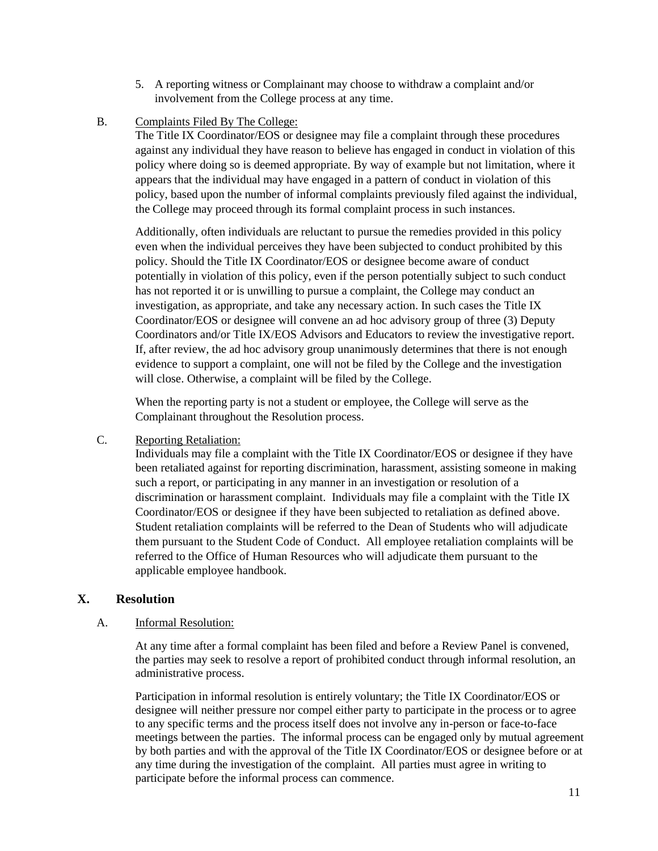- 5. A reporting witness or Complainant may choose to withdraw a complaint and/or involvement from the College process at any time.
- B. Complaints Filed By The College:

The Title IX Coordinator/EOS or designee may file a complaint through these procedures against any individual they have reason to believe has engaged in conduct in violation of this policy where doing so is deemed appropriate. By way of example but not limitation, where it appears that the individual may have engaged in a pattern of conduct in violation of this policy, based upon the number of informal complaints previously filed against the individual, the College may proceed through its formal complaint process in such instances.

Additionally, often individuals are reluctant to pursue the remedies provided in this policy even when the individual perceives they have been subjected to conduct prohibited by this policy. Should the Title IX Coordinator/EOS or designee become aware of conduct potentially in violation of this policy, even if the person potentially subject to such conduct has not reported it or is unwilling to pursue a complaint, the College may conduct an investigation, as appropriate, and take any necessary action. In such cases the Title IX Coordinator/EOS or designee will convene an ad hoc advisory group of three (3) Deputy Coordinators and/or Title IX/EOS Advisors and Educators to review the investigative report. If, after review, the ad hoc advisory group unanimously determines that there is not enough evidence to support a complaint, one will not be filed by the College and the investigation will close. Otherwise, a complaint will be filed by the College.

When the reporting party is not a student or employee, the College will serve as the Complainant throughout the Resolution process.

# C. Reporting Retaliation:

Individuals may file a complaint with the Title IX Coordinator/EOS or designee if they have been retaliated against for reporting discrimination, harassment, assisting someone in making such a report, or participating in any manner in an investigation or resolution of a discrimination or harassment complaint. Individuals may file a complaint with the Title IX Coordinator/EOS or designee if they have been subjected to retaliation as defined above. Student retaliation complaints will be referred to the Dean of Students who will adjudicate them pursuant to the Student Code of Conduct. All employee retaliation complaints will be referred to the Office of Human Resources who will adjudicate them pursuant to the applicable employee handbook.

# <span id="page-11-0"></span>**X. Resolution**

#### A. Informal Resolution:

At any time after a formal complaint has been filed and before a Review Panel is convened, the parties may seek to resolve a report of prohibited conduct through informal resolution, an administrative process.

Participation in informal resolution is entirely voluntary; the Title IX Coordinator/EOS or designee will neither pressure nor compel either party to participate in the process or to agree to any specific terms and the process itself does not involve any in-person or face-to-face meetings between the parties. The informal process can be engaged only by mutual agreement by both parties and with the approval of the Title IX Coordinator/EOS or designee before or at any time during the investigation of the complaint. All parties must agree in writing to participate before the informal process can commence.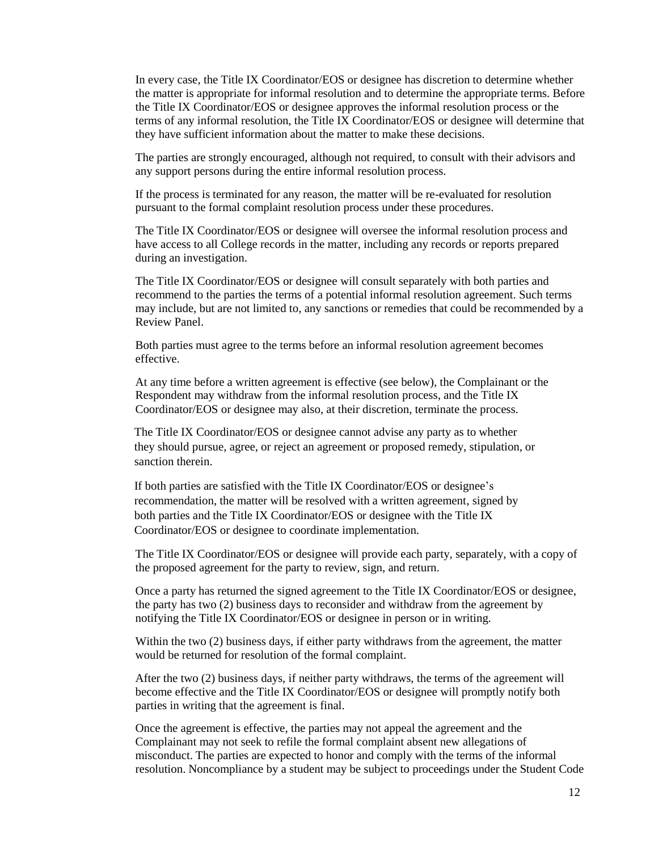In every case, the Title IX Coordinator/EOS or designee has discretion to determine whether the matter is appropriate for informal resolution and to determine the appropriate terms. Before the Title IX Coordinator/EOS or designee approves the informal resolution process or the terms of any informal resolution, the Title IX Coordinator/EOS or designee will determine that they have sufficient information about the matter to make these decisions.

The parties are strongly encouraged, although not required, to consult with their advisors and any support persons during the entire informal resolution process.

If the process is terminated for any reason, the matter will be re-evaluated for resolution pursuant to the formal complaint resolution process under these procedures.

The Title IX Coordinator/EOS or designee will oversee the informal resolution process and have access to all College records in the matter, including any records or reports prepared during an investigation.

The Title IX Coordinator/EOS or designee will consult separately with both parties and recommend to the parties the terms of a potential informal resolution agreement. Such terms may include, but are not limited to, any sanctions or remedies that could be recommended by a Review Panel.

Both parties must agree to the terms before an informal resolution agreement becomes effective.

At any time before a written agreement is effective (see below), the Complainant or the Respondent may withdraw from the informal resolution process, and the Title IX Coordinator/EOS or designee may also, at their discretion, terminate the process.

The Title IX Coordinator/EOS or designee cannot advise any party as to whether they should pursue, agree, or reject an agreement or proposed remedy, stipulation, or sanction therein.

If both parties are satisfied with the Title IX Coordinator/EOS or designee's recommendation, the matter will be resolved with a written agreement, signed by both parties and the Title IX Coordinator/EOS or designee with the Title IX Coordinator/EOS or designee to coordinate implementation.

The Title IX Coordinator/EOS or designee will provide each party, separately, with a copy of the proposed agreement for the party to review, sign, and return.

Once a party has returned the signed agreement to the Title IX Coordinator/EOS or designee, the party has two (2) business days to reconsider and withdraw from the agreement by notifying the Title IX Coordinator/EOS or designee in person or in writing.

Within the two (2) business days, if either party withdraws from the agreement, the matter would be returned for resolution of the formal complaint.

After the two (2) business days, if neither party withdraws, the terms of the agreement will become effective and the Title IX Coordinator/EOS or designee will promptly notify both parties in writing that the agreement is final.

Once the agreement is effective, the parties may not appeal the agreement and the Complainant may not seek to refile the formal complaint absent new allegations of misconduct. The parties are expected to honor and comply with the terms of the informal resolution. Noncompliance by a student may be subject to proceedings under the Student Code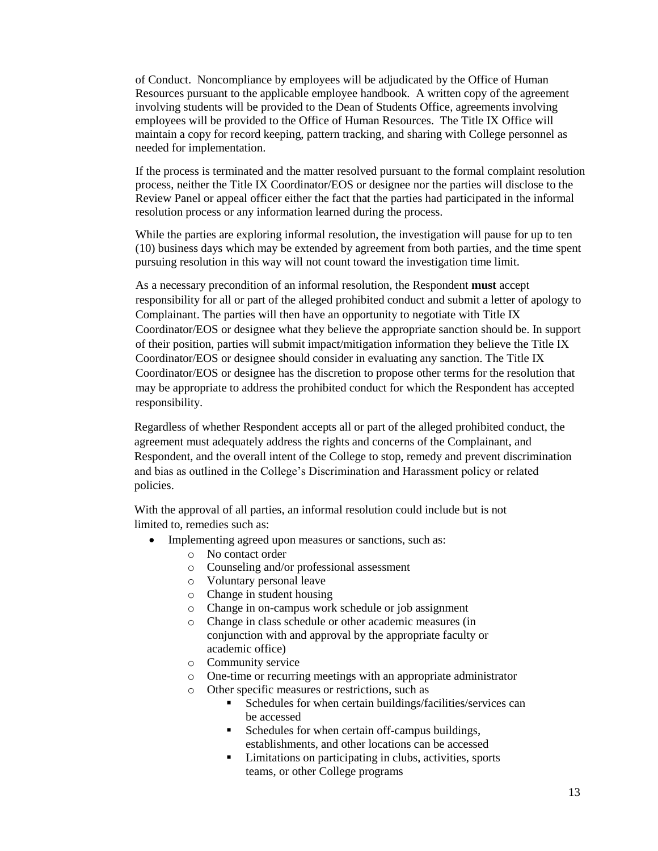of Conduct. Noncompliance by employees will be adjudicated by the Office of Human Resources pursuant to the applicable employee handbook. A written copy of the agreement involving students will be provided to the Dean of Students Office, agreements involving employees will be provided to the Office of Human Resources. The Title IX Office will maintain a copy for record keeping, pattern tracking, and sharing with College personnel as needed for implementation.

If the process is terminated and the matter resolved pursuant to the formal complaint resolution process, neither the Title IX Coordinator/EOS or designee nor the parties will disclose to the Review Panel or appeal officer either the fact that the parties had participated in the informal resolution process or any information learned during the process.

While the parties are exploring informal resolution, the investigation will pause for up to ten (10) business days which may be extended by agreement from both parties, and the time spent pursuing resolution in this way will not count toward the investigation time limit.

As a necessary precondition of an informal resolution, the Respondent **must** accept responsibility for all or part of the alleged prohibited conduct and submit a letter of apology to Complainant. The parties will then have an opportunity to negotiate with Title IX Coordinator/EOS or designee what they believe the appropriate sanction should be. In support of their position, parties will submit impact/mitigation information they believe the Title IX Coordinator/EOS or designee should consider in evaluating any sanction. The Title IX Coordinator/EOS or designee has the discretion to propose other terms for the resolution that may be appropriate to address the prohibited conduct for which the Respondent has accepted responsibility.

Regardless of whether Respondent accepts all or part of the alleged prohibited conduct, the agreement must adequately address the rights and concerns of the Complainant, and Respondent, and the overall intent of the College to stop, remedy and prevent discrimination and bias as outlined in the College's Discrimination and Harassment policy or related policies.

With the approval of all parties, an informal resolution could include but is not limited to, remedies such as:

- Implementing agreed upon measures or sanctions, such as:
	- o No contact order
	- o Counseling and/or professional assessment
	- o Voluntary personal leave
	- o Change in student housing
	- o Change in on-campus work schedule or job assignment
	- o Change in class schedule or other academic measures (in conjunction with and approval by the appropriate faculty or academic office)
	- o Community service
	- o One-time or recurring meetings with an appropriate administrator
	- o Other specific measures or restrictions, such as
		- **Schedules for when certain buildings/facilities/services can** be accessed
		- Schedules for when certain off-campus buildings, establishments, and other locations can be accessed
		- Limitations on participating in clubs, activities, sports teams, or other College programs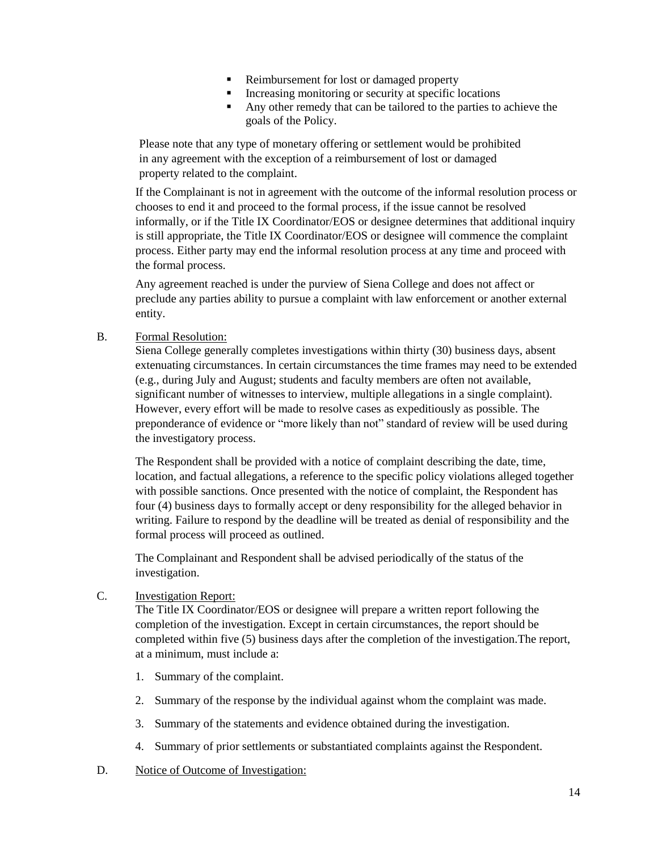- Reimbursement for lost or damaged property
- Increasing monitoring or security at specific locations
- Any other remedy that can be tailored to the parties to achieve the goals of the Policy.

Please note that any type of monetary offering or settlement would be prohibited in any agreement with the exception of a reimbursement of lost or damaged property related to the complaint.

If the Complainant is not in agreement with the outcome of the informal resolution process or chooses to end it and proceed to the formal process, if the issue cannot be resolved informally, or if the Title IX Coordinator/EOS or designee determines that additional inquiry is still appropriate, the Title IX Coordinator/EOS or designee will commence the complaint process. Either party may end the informal resolution process at any time and proceed with the formal process.

Any agreement reached is under the purview of Siena College and does not affect or preclude any parties ability to pursue a complaint with law enforcement or another external entity.

B. Formal Resolution:

Siena College generally completes investigations within thirty (30) business days, absent extenuating circumstances. In certain circumstances the time frames may need to be extended (e.g., during July and August; students and faculty members are often not available, significant number of witnesses to interview, multiple allegations in a single complaint). However, every effort will be made to resolve cases as expeditiously as possible. The preponderance of evidence or "more likely than not" standard of review will be used during the investigatory process.

The Respondent shall be provided with a notice of complaint describing the date, time, location, and factual allegations, a reference to the specific policy violations alleged together with possible sanctions. Once presented with the notice of complaint, the Respondent has four (4) business days to formally accept or deny responsibility for the alleged behavior in writing. Failure to respond by the deadline will be treated as denial of responsibility and the formal process will proceed as outlined.

The Complainant and Respondent shall be advised periodically of the status of the investigation.

C. Investigation Report:

The Title IX Coordinator/EOS or designee will prepare a written report following the completion of the investigation. Except in certain circumstances, the report should be completed within five (5) business days after the completion of the investigation.The report, at a minimum, must include a:

- 1. Summary of the complaint.
- 2. Summary of the response by the individual against whom the complaint was made.
- 3. Summary of the statements and evidence obtained during the investigation.
- 4. Summary of prior settlements or substantiated complaints against the Respondent.
- D. Notice of Outcome of Investigation: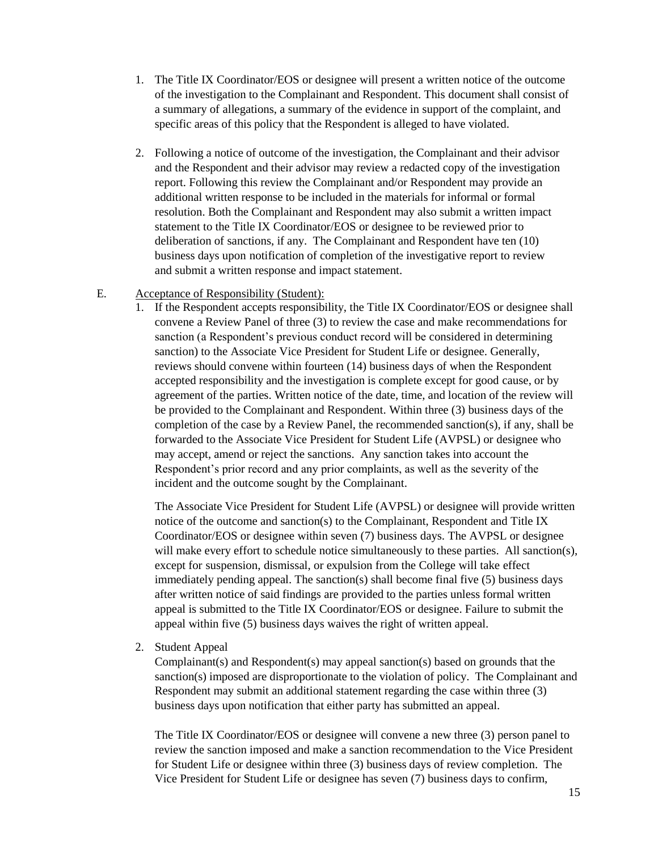- 1. The Title IX Coordinator/EOS or designee will present a written notice of the outcome of the investigation to the Complainant and Respondent. This document shall consist of a summary of allegations, a summary of the evidence in support of the complaint, and specific areas of this policy that the Respondent is alleged to have violated.
- 2. Following a notice of outcome of the investigation, the Complainant and their advisor and the Respondent and their advisor may review a redacted copy of the investigation report. Following this review the Complainant and/or Respondent may provide an additional written response to be included in the materials for informal or formal resolution. Both the Complainant and Respondent may also submit a written impact statement to the Title IX Coordinator/EOS or designee to be reviewed prior to deliberation of sanctions, if any. The Complainant and Respondent have ten (10) business days upon notification of completion of the investigative report to review and submit a written response and impact statement.

#### E. Acceptance of Responsibility (Student):

1. If the Respondent accepts responsibility, the Title IX Coordinator/EOS or designee shall convene a Review Panel of three (3) to review the case and make recommendations for sanction (a Respondent's previous conduct record will be considered in determining sanction) to the Associate Vice President for Student Life or designee. Generally, reviews should convene within fourteen (14) business days of when the Respondent accepted responsibility and the investigation is complete except for good cause, or by agreement of the parties. Written notice of the date, time, and location of the review will be provided to the Complainant and Respondent. Within three (3) business days of the completion of the case by a Review Panel, the recommended sanction(s), if any, shall be forwarded to the Associate Vice President for Student Life (AVPSL) or designee who may accept, amend or reject the sanctions. Any sanction takes into account the Respondent's prior record and any prior complaints, as well as the severity of the incident and the outcome sought by the Complainant.

The Associate Vice President for Student Life (AVPSL) or designee will provide written notice of the outcome and sanction(s) to the Complainant, Respondent and Title IX Coordinator/EOS or designee within seven (7) business days. The AVPSL or designee will make every effort to schedule notice simultaneously to these parties. All sanction(s), except for suspension, dismissal, or expulsion from the College will take effect immediately pending appeal. The sanction(s) shall become final five (5) business days after written notice of said findings are provided to the parties unless formal written appeal is submitted to the Title IX Coordinator/EOS or designee. Failure to submit the appeal within five (5) business days waives the right of written appeal.

2. Student Appeal

Complainant(s) and Respondent(s) may appeal sanction(s) based on grounds that the sanction(s) imposed are disproportionate to the violation of policy. The Complainant and Respondent may submit an additional statement regarding the case within three (3) business days upon notification that either party has submitted an appeal.

The Title IX Coordinator/EOS or designee will convene a new three (3) person panel to review the sanction imposed and make a sanction recommendation to the Vice President for Student Life or designee within three (3) business days of review completion. The Vice President for Student Life or designee has seven (7) business days to confirm,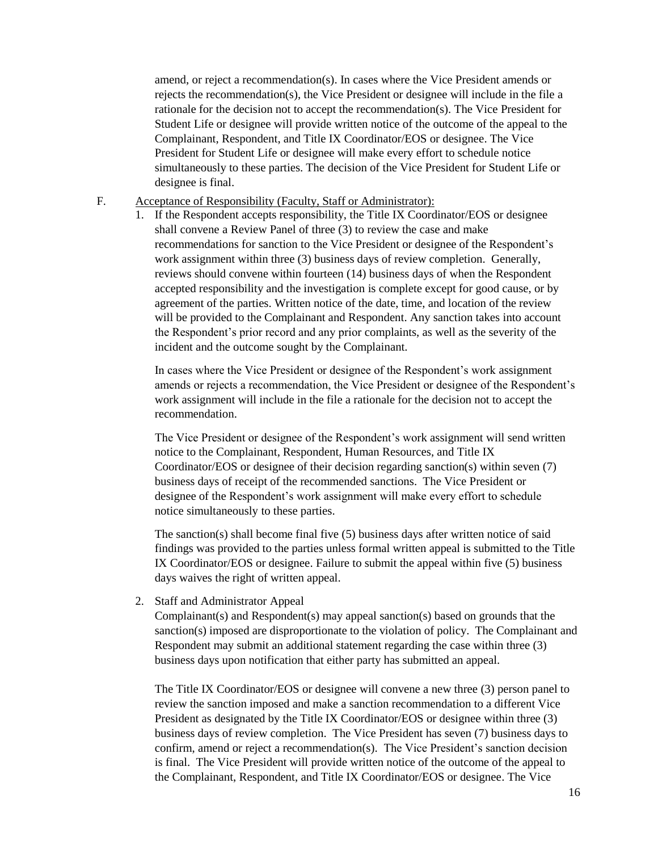amend, or reject a recommendation(s). In cases where the Vice President amends or rejects the recommendation(s), the Vice President or designee will include in the file a rationale for the decision not to accept the recommendation(s). The Vice President for Student Life or designee will provide written notice of the outcome of the appeal to the Complainant, Respondent, and Title IX Coordinator/EOS or designee. The Vice President for Student Life or designee will make every effort to schedule notice simultaneously to these parties. The decision of the Vice President for Student Life or designee is final.

- F. Acceptance of Responsibility (Faculty, Staff or Administrator):
	- 1. If the Respondent accepts responsibility, the Title IX Coordinator/EOS or designee shall convene a Review Panel of three (3) to review the case and make recommendations for sanction to the Vice President or designee of the Respondent's work assignment within three (3) business days of review completion. Generally, reviews should convene within fourteen (14) business days of when the Respondent accepted responsibility and the investigation is complete except for good cause, or by agreement of the parties. Written notice of the date, time, and location of the review will be provided to the Complainant and Respondent. Any sanction takes into account the Respondent's prior record and any prior complaints, as well as the severity of the incident and the outcome sought by the Complainant.

In cases where the Vice President or designee of the Respondent's work assignment amends or rejects a recommendation, the Vice President or designee of the Respondent's work assignment will include in the file a rationale for the decision not to accept the recommendation.

The Vice President or designee of the Respondent's work assignment will send written notice to the Complainant, Respondent, Human Resources, and Title IX Coordinator/EOS or designee of their decision regarding sanction(s) within seven (7) business days of receipt of the recommended sanctions. The Vice President or designee of the Respondent's work assignment will make every effort to schedule notice simultaneously to these parties.

The sanction(s) shall become final five (5) business days after written notice of said findings was provided to the parties unless formal written appeal is submitted to the Title IX Coordinator/EOS or designee. Failure to submit the appeal within five (5) business days waives the right of written appeal.

2. Staff and Administrator Appeal

Complainant(s) and Respondent(s) may appeal sanction(s) based on grounds that the sanction(s) imposed are disproportionate to the violation of policy. The Complainant and Respondent may submit an additional statement regarding the case within three (3) business days upon notification that either party has submitted an appeal.

The Title IX Coordinator/EOS or designee will convene a new three (3) person panel to review the sanction imposed and make a sanction recommendation to a different Vice President as designated by the Title IX Coordinator/EOS or designee within three (3) business days of review completion. The Vice President has seven (7) business days to confirm, amend or reject a recommendation(s). The Vice President's sanction decision is final. The Vice President will provide written notice of the outcome of the appeal to the Complainant, Respondent, and Title IX Coordinator/EOS or designee. The Vice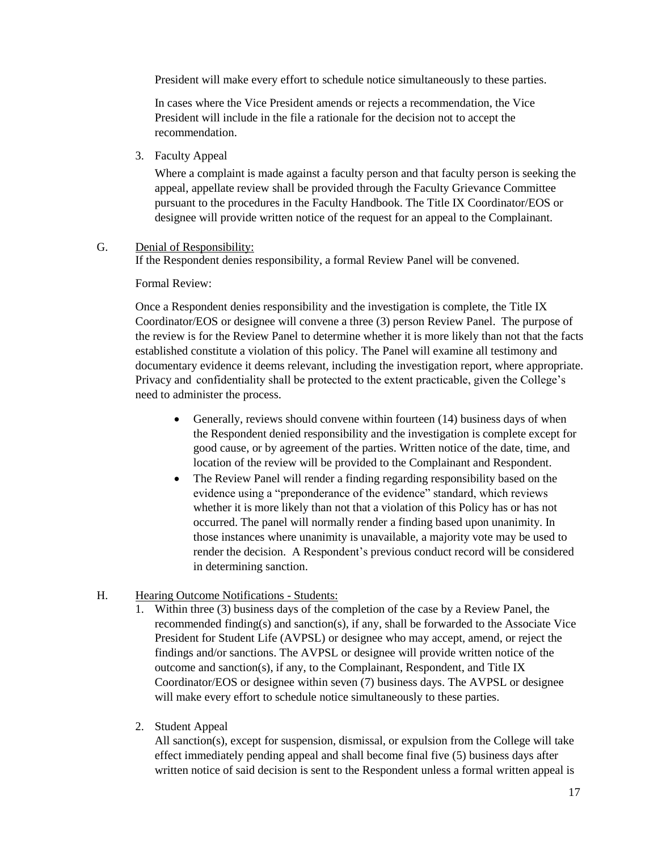President will make every effort to schedule notice simultaneously to these parties.

In cases where the Vice President amends or rejects a recommendation, the Vice President will include in the file a rationale for the decision not to accept the recommendation.

3. Faculty Appeal

Where a complaint is made against a faculty person and that faculty person is seeking the appeal, appellate review shall be provided through the Faculty Grievance Committee pursuant to the procedures in the Faculty Handbook. The Title IX Coordinator/EOS or designee will provide written notice of the request for an appeal to the Complainant.

## G. Denial of Responsibility:

If the Respondent denies responsibility, a formal Review Panel will be convened.

Formal Review:

Once a Respondent denies responsibility and the investigation is complete, the Title IX Coordinator/EOS or designee will convene a three (3) person Review Panel. The purpose of the review is for the Review Panel to determine whether it is more likely than not that the facts established constitute a violation of this policy. The Panel will examine all testimony and documentary evidence it deems relevant, including the investigation report, where appropriate. Privacy and confidentiality shall be protected to the extent practicable, given the College's need to administer the process.

- Generally, reviews should convene within fourteen (14) business days of when the Respondent denied responsibility and the investigation is complete except for good cause, or by agreement of the parties. Written notice of the date, time, and location of the review will be provided to the Complainant and Respondent.
- The Review Panel will render a finding regarding responsibility based on the evidence using a "preponderance of the evidence" standard, which reviews whether it is more likely than not that a violation of this Policy has or has not occurred. The panel will normally render a finding based upon unanimity. In those instances where unanimity is unavailable, a majority vote may be used to render the decision. A Respondent's previous conduct record will be considered in determining sanction.

# H. Hearing Outcome Notifications - Students:

- 1. Within three (3) business days of the completion of the case by a Review Panel, the recommended finding(s) and sanction(s), if any, shall be forwarded to the Associate Vice President for Student Life (AVPSL) or designee who may accept, amend, or reject the findings and/or sanctions. The AVPSL or designee will provide written notice of the outcome and sanction(s), if any, to the Complainant, Respondent, and Title IX Coordinator/EOS or designee within seven (7) business days. The AVPSL or designee will make every effort to schedule notice simultaneously to these parties.
- 2. Student Appeal

All sanction(s), except for suspension, dismissal, or expulsion from the College will take effect immediately pending appeal and shall become final five (5) business days after written notice of said decision is sent to the Respondent unless a formal written appeal is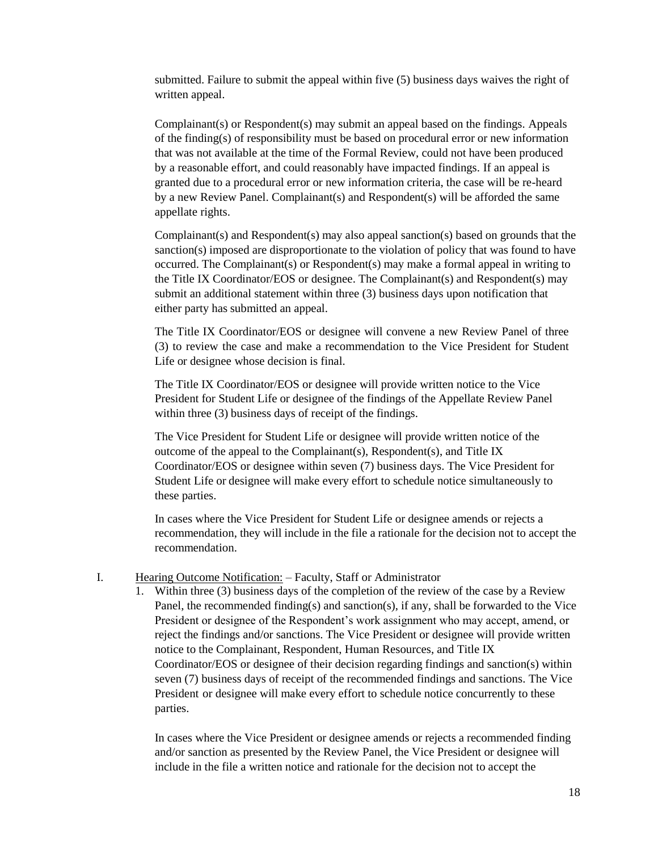submitted. Failure to submit the appeal within five (5) business days waives the right of written appeal.

Complainant(s) or Respondent(s) may submit an appeal based on the findings. Appeals of the finding(s) of responsibility must be based on procedural error or new information that was not available at the time of the Formal Review, could not have been produced by a reasonable effort, and could reasonably have impacted findings. If an appeal is granted due to a procedural error or new information criteria, the case will be re-heard by a new Review Panel. Complainant(s) and Respondent(s) will be afforded the same appellate rights.

Complainant(s) and Respondent(s) may also appeal sanction(s) based on grounds that the sanction(s) imposed are disproportionate to the violation of policy that was found to have occurred. The Complainant(s) or Respondent(s) may make a formal appeal in writing to the Title IX Coordinator/EOS or designee. The Complainant(s) and Respondent(s) may submit an additional statement within three (3) business days upon notification that either party has submitted an appeal.

The Title IX Coordinator/EOS or designee will convene a new Review Panel of three (3) to review the case and make a recommendation to the Vice President for Student Life or designee whose decision is final.

The Title IX Coordinator/EOS or designee will provide written notice to the Vice President for Student Life or designee of the findings of the Appellate Review Panel within three (3) business days of receipt of the findings.

The Vice President for Student Life or designee will provide written notice of the outcome of the appeal to the Complainant(s), Respondent(s), and Title IX Coordinator/EOS or designee within seven (7) business days. The Vice President for Student Life or designee will make every effort to schedule notice simultaneously to these parties.

In cases where the Vice President for Student Life or designee amends or rejects a recommendation, they will include in the file a rationale for the decision not to accept the recommendation.

#### I. Hearing Outcome Notification: – Faculty, Staff or Administrator

1. Within three (3) business days of the completion of the review of the case by a Review Panel, the recommended finding(s) and sanction(s), if any, shall be forwarded to the Vice President or designee of the Respondent's work assignment who may accept, amend, or reject the findings and/or sanctions. The Vice President or designee will provide written notice to the Complainant, Respondent, Human Resources, and Title IX Coordinator/EOS or designee of their decision regarding findings and sanction(s) within seven (7) business days of receipt of the recommended findings and sanctions. The Vice President or designee will make every effort to schedule notice concurrently to these parties.

In cases where the Vice President or designee amends or rejects a recommended finding and/or sanction as presented by the Review Panel, the Vice President or designee will include in the file a written notice and rationale for the decision not to accept the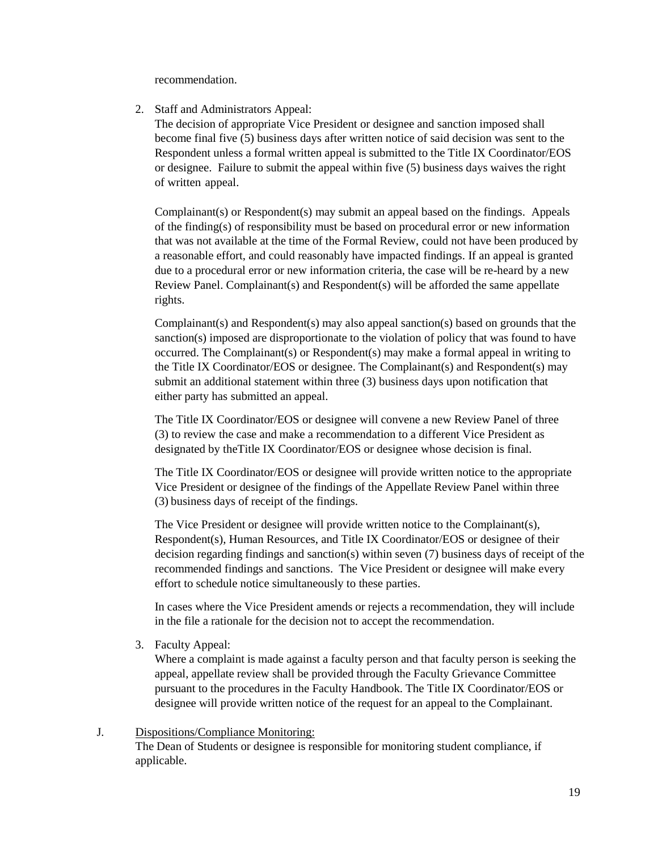recommendation.

2. Staff and Administrators Appeal:

The decision of appropriate Vice President or designee and sanction imposed shall become final five (5) business days after written notice of said decision was sent to the Respondent unless a formal written appeal is submitted to the Title IX Coordinator/EOS or designee. Failure to submit the appeal within five (5) business days waives the right of written appeal.

Complainant(s) or Respondent(s) may submit an appeal based on the findings. Appeals of the finding(s) of responsibility must be based on procedural error or new information that was not available at the time of the Formal Review, could not have been produced by a reasonable effort, and could reasonably have impacted findings. If an appeal is granted due to a procedural error or new information criteria, the case will be re-heard by a new Review Panel. Complainant(s) and Respondent(s) will be afforded the same appellate rights.

Complainant(s) and Respondent(s) may also appeal sanction(s) based on grounds that the sanction(s) imposed are disproportionate to the violation of policy that was found to have occurred. The Complainant(s) or Respondent(s) may make a formal appeal in writing to the Title IX Coordinator/EOS or designee. The Complainant(s) and Respondent(s) may submit an additional statement within three (3) business days upon notification that either party has submitted an appeal.

The Title IX Coordinator/EOS or designee will convene a new Review Panel of three (3) to review the case and make a recommendation to a different Vice President as designated by theTitle IX Coordinator/EOS or designee whose decision is final.

The Title IX Coordinator/EOS or designee will provide written notice to the appropriate Vice President or designee of the findings of the Appellate Review Panel within three (3) business days of receipt of the findings.

The Vice President or designee will provide written notice to the Complainant(s), Respondent(s), Human Resources, and Title IX Coordinator/EOS or designee of their decision regarding findings and sanction(s) within seven (7) business days of receipt of the recommended findings and sanctions. The Vice President or designee will make every effort to schedule notice simultaneously to these parties.

In cases where the Vice President amends or rejects a recommendation, they will include in the file a rationale for the decision not to accept the recommendation.

3. Faculty Appeal:

Where a complaint is made against a faculty person and that faculty person is seeking the appeal, appellate review shall be provided through the Faculty Grievance Committee pursuant to the procedures in the Faculty Handbook. The Title IX Coordinator/EOS or designee will provide written notice of the request for an appeal to the Complainant.

#### J. Dispositions/Compliance Monitoring:

The Dean of Students or designee is responsible for monitoring student compliance, if applicable.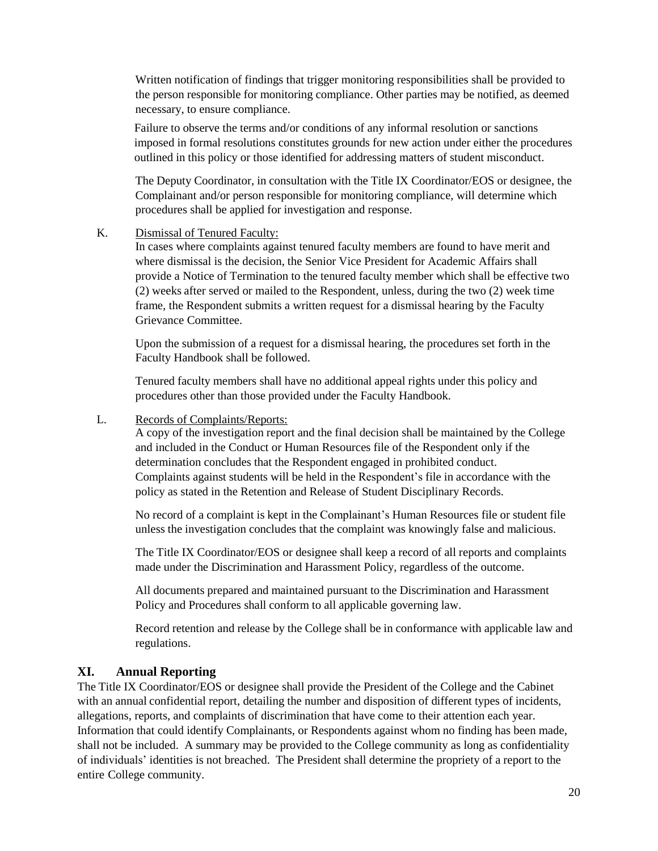Written notification of findings that trigger monitoring responsibilities shall be provided to the person responsible for monitoring compliance. Other parties may be notified, as deemed necessary, to ensure compliance.

Failure to observe the terms and/or conditions of any informal resolution or sanctions imposed in formal resolutions constitutes grounds for new action under either the procedures outlined in this policy or those identified for addressing matters of student misconduct.

The Deputy Coordinator, in consultation with the Title IX Coordinator/EOS or designee, the Complainant and/or person responsible for monitoring compliance, will determine which procedures shall be applied for investigation and response.

K. Dismissal of Tenured Faculty:

In cases where complaints against tenured faculty members are found to have merit and where dismissal is the decision, the Senior Vice President for Academic Affairs shall provide a Notice of Termination to the tenured faculty member which shall be effective two (2) weeks after served or mailed to the Respondent, unless, during the two (2) week time frame, the Respondent submits a written request for a dismissal hearing by the Faculty Grievance Committee.

Upon the submission of a request for a dismissal hearing, the procedures set forth in the Faculty Handbook shall be followed.

Tenured faculty members shall have no additional appeal rights under this policy and procedures other than those provided under the Faculty Handbook.

L. Records of Complaints/Reports:

A copy of the investigation report and the final decision shall be maintained by the College and included in the Conduct or Human Resources file of the Respondent only if the determination concludes that the Respondent engaged in prohibited conduct. Complaints against students will be held in the Respondent's file in accordance with the policy as stated in the Retention and Release of Student Disciplinary Records.

No record of a complaint is kept in the Complainant's Human Resources file or student file unless the investigation concludes that the complaint was knowingly false and malicious.

The Title IX Coordinator/EOS or designee shall keep a record of all reports and complaints made under the Discrimination and Harassment Policy, regardless of the outcome.

All documents prepared and maintained pursuant to the Discrimination and Harassment Policy and Procedures shall conform to all applicable governing law.

Record retention and release by the College shall be in conformance with applicable law and regulations.

# **XI. Annual Reporting**

The Title IX Coordinator/EOS or designee shall provide the President of the College and the Cabinet with an annual confidential report, detailing the number and disposition of different types of incidents, allegations, reports, and complaints of discrimination that have come to their attention each year. Information that could identify Complainants, or Respondents against whom no finding has been made, shall not be included. A summary may be provided to the College community as long as confidentiality of individuals' identities is not breached. The President shall determine the propriety of a report to the entire College community.